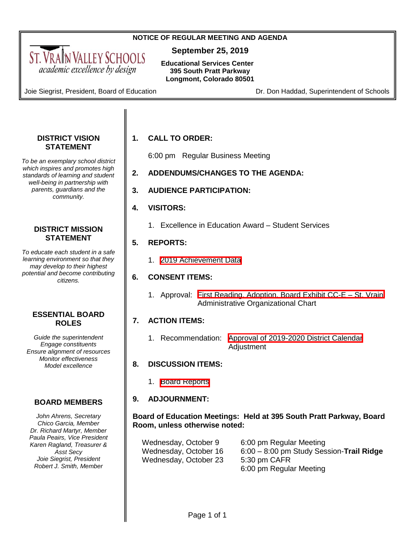#### **NOTICE OF REGULAR MEETING AND AGENDA**

**September 25, 2019**

**Educational Services Center 395 South Pratt Parkway Longmont, Colorado 80501**

Joie Siegrist, President, Board of Education Dr. Don Haddad, Superintendent of Schools

<span id="page-0-0"></span>ST. VRAIN VALLEY SCHOOLS academic excellence by design

#### **DISTRICT VISION STATEMENT**

*To be an exemplary school district which inspires and promotes high standards of learning and student well-being in partnership with parents, guardians and the community.*

#### **DISTRICT MISSION STATEMENT**

*To educate each student in a safe learning environment so that they may develop to their highest potential and become contributing citizens.*

#### **ESSENTIAL BOARD ROLES**

*Guide the superintendent Engage constituents Ensure alignment of resources Monitor effectiveness Model excellence*

## **BOARD MEMBERS**

*John Ahrens, Secretary Chico Garcia, Member Dr. Richard Martyr, Member Paula Peairs, Vice President Karen Ragland, Treasurer & Asst Secy Joie Siegrist, President Robert J. Smith, Member*

## **1. CALL TO ORDER:**

6:00 pm Regular Business Meeting

- **2. ADDENDUMS/CHANGES TO THE AGENDA:**
- **3. AUDIENCE PARTICIPATION:**
- **4. VISITORS:**
	- 1. Excellence in Education Award Student Services

#### **5. REPORTS:**

1. [2019 Achievement Data](#page-1-0)

#### **6. CONSENT ITEMS:**

1. Approval: [First Reading, Adoption, Board Exhibit CC-E –](#page-3-0) St. Vrain Administrative Organizational Chart

#### **7. ACTION ITEMS:**

1. Recommendation: [Approval of 2019-2020 District Calendar](#page-4-0) Adjustment

#### **8. DISCUSSION ITEMS:**

1. [Board Reports](#page-6-0)

#### **9. ADJOURNMENT:**

#### **Board of Education Meetings: Held at 395 South Pratt Parkway, Board Room, unless otherwise noted:**

| Wednesday, October 9  | 6:00 pm Regular Meeting                    |
|-----------------------|--------------------------------------------|
| Wednesday, October 16 | $6:00 - 8:00$ pm Study Session-Trail Ridge |
| Wednesday, October 23 | 5:30 pm CAFR                               |
|                       | 6:00 pm Regular Meeting                    |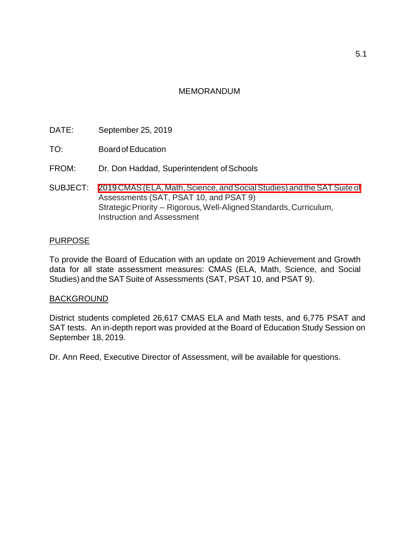- <span id="page-1-0"></span>DATE: September 25, 2019
- TO: BoardofEducation
- FROM: Dr. Don Haddad, Superintendent of Schools
- SUBJECT: 2019 CMAS (ELA, Math, Science, and Social Studies) and the SAT Suite of Assessments (SAT, PSAT 10, and PSAT 9) Strategic Priority – Rigorous, Well-Aligned Standards, Curriculum, Instruction and Assessment

#### PURPOSE

To provide the Board of Education with an update on 2019 Achievement and Growth data for all state assessment measures: CMAS (ELA, Math, Science, and Social Studies) and the SAT Suite of Assessments (SAT, PSAT 10, and PSAT 9).

#### **BACKGROUND**

District students completed 26,617 CMAS ELA and Math tests, and 6,775 PSAT and SAT tests. An in-depth report was provided at the Board of Education Study Session on September 18, 2019.

Dr. Ann Reed, Executive Director of Assessment, will be available for questions.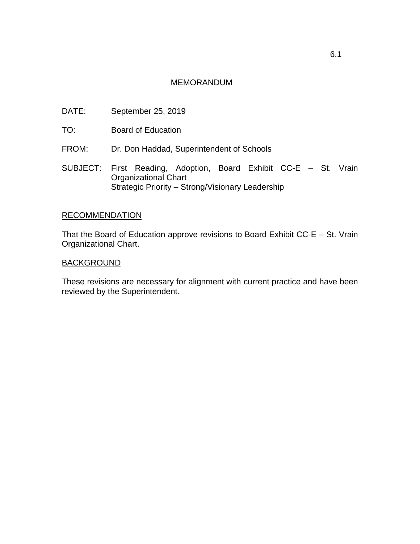- DATE: September 25, 2019
- TO: Board of Education
- FROM: Dr. Don Haddad, Superintendent of Schools
- SUBJECT: First Reading, Adoption, Board Exhibit CC-E St. Vrain Organizational Chart Strategic Priority – Strong/Visionary Leadership

#### RECOMMENDATION

That the Board of Education approve revisions to Board Exhibit CC-E – St. Vrain Organizational Chart.

#### **BACKGROUND**

These revisions are necessary for alignment with current practice and have been reviewed by the Superintendent.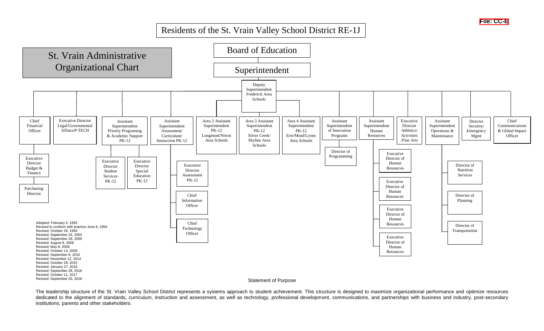## Residents of the St. Vrain Valley School District RE-1J

<span id="page-3-0"></span>

The leadership structure of the St. Vrain Valley School District represents a systems approach to student achievement. This structure is designed to maximize organizational performance and optimize resources dedicated to the alignment of standards, curriculum, instruction and assessment, as well as technology, professional development, communications, and partnerships with business and industry, post-secondary institutions, parents and other stakeholders.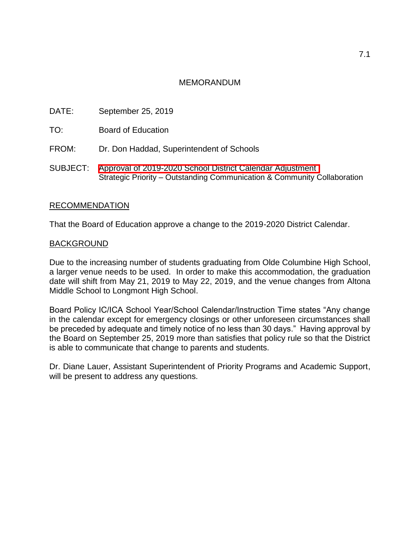- <span id="page-4-0"></span>DATE: September 25, 2019
- TO: Board of Education
- FROM: Dr. Don Haddad, Superintendent of Schools
- SUBJECT: Approval of 2019-2020 [School District Calendar](#page-0-0) Adjustment Strategic Priority – Outstanding Communication & Community Collaboration

#### RECOMMENDATION

That the Board of Education approve a change to the 2019-2020 District Calendar.

#### BACKGROUND

Due to the increasing number of students graduating from Olde Columbine High School, a larger venue needs to be used. In order to make this accommodation, the graduation date will shift from May 21, 2019 to May 22, 2019, and the venue changes from Altona Middle School to Longmont High School.

Board Policy IC/ICA School Year/School Calendar/Instruction Time states "Any change in the calendar except for emergency closings or other unforeseen circumstances shall be preceded by adequate and timely notice of no less than 30 days." Having approval by the Board on September 25, 2019 more than satisfies that policy rule so that the District is able to communicate that change to parents and students.

Dr. Diane Lauer, Assistant Superintendent of Priority Programs and Academic Support, will be present to address any questions.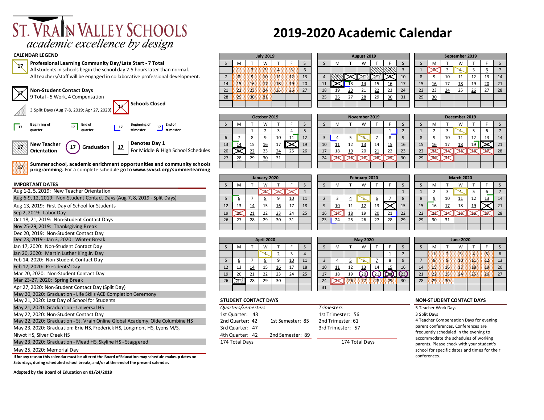# ST. VRAIN VALLEY SCHOOLS academic excellence by design

#### **CALENDAR LEGEND**

**17**



**Summer school, academic enrichment opportunities and community schools programming.** For a complete schedule go to **www.svvsd.org/summerlearning**

#### **IMPORTANT DATES**

**17**

| Aug 1-2, 5, 2019: New Teacher Orientation                                     |                                                          |                             |           |            |    |                  |              |                |                                         |                                               |                 |                                     |              |              |              | $\overline{2}$      | 3                                      |                  |               |                                           |    |
|-------------------------------------------------------------------------------|----------------------------------------------------------|-----------------------------|-----------|------------|----|------------------|--------------|----------------|-----------------------------------------|-----------------------------------------------|-----------------|-------------------------------------|--------------|--------------|--------------|---------------------|----------------------------------------|------------------|---------------|-------------------------------------------|----|
| Aug 6-9, 12, 2019: Non-Student Contact Days (Aug 7, 8, 2019 - Split Days)     | 5                                                        |                             |           | 8          | 9  | 10               | 11           | $\overline{2}$ | 3                                       |                                               |                 | 6                                   |              | 8            | 8            | 9                   | 10                                     |                  | 12            | 13                                        | 14 |
| Aug 13, 2019: First Day of School for Students                                | 12                                                       | 13                          | <u>14</u> | 15         | 16 | 17               | 18           | 9              | 10                                      | 11                                            | <u>12</u>       | 13                                  |              | 15           | 15           | 16                  |                                        | 18               | <u>19</u>     |                                           | 21 |
| Sep 2, 2019: Labor Day                                                        | 19                                                       |                             | 21        | 22         | 23 | 24               | 25           | 16             |                                         | 18                                            | 19              | 20                                  | 21           | 22           | 22           |                     |                                        |                  |               |                                           | 28 |
| Oct 18, 21, 2019: Non-Student Contact Days                                    | 26                                                       | 27                          | 28        | 29         | 30 | 31               |              | 23             | 24                                      | 25                                            | 26              | 27                                  | 28           | 29           | 29           | 30                  | 31                                     |                  |               |                                           |    |
| Nov 25-29, 2019: Thanksgiving Break                                           |                                                          |                             |           |            |    |                  |              |                |                                         |                                               |                 |                                     |              |              |              |                     |                                        |                  |               |                                           |    |
| Dec 20, 2019: Non-Student Contact Day                                         |                                                          |                             |           |            |    |                  |              |                |                                         |                                               |                 |                                     |              |              |              |                     |                                        |                  |               |                                           |    |
| Dec 23, 2019 - Jan 3, 2020: Winter Break                                      |                                                          |                             |           | April 2020 |    |                  |              |                |                                         |                                               | <b>May 2020</b> |                                     |              |              |              |                     |                                        | <b>June 2020</b> |               |                                           |    |
| Jan 17, 2020: Non-Student Contact Day                                         | S                                                        | M                           |           | W          |    | F                | <sub>S</sub> | <sub>S</sub>   | м                                       |                                               | W               |                                     |              | <sub>S</sub> | S            | M                   |                                        | W                |               |                                           |    |
| Jan 20, 2020: Martin Luther King Jr. Day                                      |                                                          |                             |           |            |    | 3                |              |                |                                         |                                               |                 |                                     |              |              |              |                     |                                        |                  |               |                                           |    |
| Feb 14, 2020: Non-Student Contact Day                                         | 5                                                        | 6                           |           | 8          | q  | 10               | 11           | $\overline{3}$ |                                         |                                               |                 |                                     | $\mathbf{R}$ | $\mathbf{q}$ |              |                     |                                        | :10              |               | 3231                                      | 13 |
| Feb 17, 2020: Presidents' Day                                                 | 12                                                       | 13                          | 14        | 15         | 16 | 17               | 18           | 10             |                                         | 12                                            | <u>13</u>       | 14                                  | 15           | 16           | 14           |                     | 16                                     | :17              | $\mathbf{13}$ | 398                                       | 20 |
| Mar 20, 2020: Non-Student Contact Day                                         | 19                                                       | 20                          | 21        | 22         | 23 | 24               | 25           | 17             | 18                                      | <u>19</u>                                     |                 | $(20)(21)$ $(23)(23)$               |              |              | 21           |                     |                                        |                  |               | E23EEE24EEE2\$EEE26EE 27                  |    |
| Mar 23-27, 2020: Spring Break                                                 | 26                                                       |                             | 28        | 29         | 30 |                  |              | 24             |                                         | 2≤ ∷2€∷                                       | $\frac{1}{2}$   | :28:                                |              |              | 28           | $\left  29 \right $ | 808                                    |                  |               |                                           |    |
| Apr 27, 2020: Non-Student Contact Day (Split Day)                             |                                                          |                             |           |            |    |                  |              | 31             |                                         |                                               |                 |                                     |              |              |              |                     |                                        |                  |               |                                           |    |
| May 20, 2020: Graduation - Life Skills ACE Completion Ceremony                |                                                          |                             |           |            |    |                  |              |                |                                         |                                               |                 |                                     |              |              |              |                     |                                        |                  |               |                                           |    |
| May 21, 2020: Last Day of School for Students                                 |                                                          | <b>STUDENT CONTACT DAYS</b> |           |            |    |                  |              |                |                                         |                                               |                 |                                     |              |              |              |                     | <b>NON-STUDENT CONTACT DAYS</b>        |                  |               |                                           |    |
| May 21, 2020: Graduation - Universal HS                                       |                                                          | Quarters/Semesters          |           |            |    |                  |              |                | <b>Trimesters</b>                       |                                               |                 |                                     |              |              |              |                     | 5 Teacher Work Days                    |                  |               |                                           |    |
| May 22, 2020: Non-Student Contact Day                                         |                                                          | 1st Quarter: 43             |           |            |    |                  |              |                | 1st Trimester: 56                       |                                               |                 |                                     |              |              | 3 Split Days |                     |                                        |                  |               |                                           |    |
| May 22, 2020: Graduation - St. Vrain Online Global Academy, Olde Columbine HS | 2nd Quarter: 42<br>2nd Trimester: 61<br>1st Semester: 85 |                             |           |            |    |                  |              |                | 4 Teacher Compensation Days for evening |                                               |                 |                                     |              |              |              |                     |                                        |                  |               |                                           |    |
| May 23, 2020: Graduation: Erie HS, Frederick HS, Longmont HS, Lyons M/S,      | 3rd Quarter: 47<br>3rd Trimester: 57                     |                             |           |            |    |                  |              |                |                                         |                                               |                 | parent conferences. Conferences are |              |              |              |                     |                                        |                  |               |                                           |    |
| Niwot HS, Silver Creek HS                                                     |                                                          | 4th Quarter: 42             |           |            |    | 2nd Semester: 89 |              |                |                                         |                                               |                 |                                     |              |              |              |                     | frequently scheduled in the evening to |                  |               | accommodate the schedules of working      |    |
| May 23, 2020: Graduation - Mead HS, Skyline HS - Staggered                    |                                                          | 174 Total Days              |           |            |    |                  |              |                |                                         | 174 Total Days                                |                 |                                     |              |              |              |                     |                                        |                  |               | parents. Please check with your student's |    |
| May 25, 2020: Memorial Day                                                    |                                                          |                             |           |            |    |                  |              |                |                                         | school for specific dates and times for their |                 |                                     |              |              |              |                     |                                        |                  |               |                                           |    |

**If for any reason this calendar must be altered the Board of Education may schedule makeup dates on Saturdays, during scheduled school breaks, and/or at the end of the present calendar.**

**Adopted by the Board of Education on 01/24/2018**

## **2019-2020 Academic Calendar**

| DAR LEGEND                                                                    |  |                            | <b>July 2019</b> |              |    |    |  | August 2019 |                                         |    |    |    |    | September 2019 |    |    |    |
|-------------------------------------------------------------------------------|--|----------------------------|------------------|--------------|----|----|--|-------------|-----------------------------------------|----|----|----|----|----------------|----|----|----|
| Professional Learning Community Day/Late Start - 7 Total                      |  |                            | w                |              |    |    |  |             |                                         |    |    | м  |    | W              |    |    |    |
| All students in schools begin the school day 2.5 hours later than normal.     |  |                            |                  | <b>BEREE</b> |    |    |  |             | $\lfloor 1 \rfloor$ $\lfloor 2 \rfloor$ |    |    |    |    |                |    |    |    |
| All teachers/staff will be engaged in collaborative professional development. |  | a dia mpikambang kalendar  |                  |              | 13 |    |  |             |                                         | 10 |    |    | 10 |                |    |    |    |
|                                                                               |  | <b>Excited by Hospital</b> |                  |              | 20 |    |  |             |                                         |    |    |    |    | 18             |    | 20 |    |
| <b>Non-Student Contact Days</b>                                               |  |                            |                  |              |    | 18 |  |             |                                         | 24 | 22 |    |    |                | 26 |    | 28 |
| 9 Total - 5 Work, 4 Compensation                                              |  | 12911113011113411          |                  |              |    | 25 |  | 28          |                                         | 31 | 29 | 30 |    |                |    |    |    |
| <b>Schools Closed</b>                                                         |  |                            |                  |              |    |    |  |             |                                         |    |    |    |    |                |    |    |    |

| October 2019 |                      |                                        |    |    |    |    |  |  |  |  |  |  |  |  |
|--------------|----------------------|----------------------------------------|----|----|----|----|--|--|--|--|--|--|--|--|
| S            | M                    |                                        | W  |    |    | S  |  |  |  |  |  |  |  |  |
|              | 5<br>2<br>4          |                                        |    |    |    |    |  |  |  |  |  |  |  |  |
| 6            |                      | 12<br><u>10</u><br><u>8</u><br>9<br>11 |    |    |    |    |  |  |  |  |  |  |  |  |
| 13           | <u>14</u>            | 15                                     | 16 | 17 |    | 19 |  |  |  |  |  |  |  |  |
| 20           |                      | 22                                     | 23 | 24 | 25 | 26 |  |  |  |  |  |  |  |  |
| 27           | 28<br>29<br>31<br>30 |                                        |    |    |    |    |  |  |  |  |  |  |  |  |
|              |                      |                                        |    |    |    |    |  |  |  |  |  |  |  |  |

|             | January 2020 |           |    |           |    |    |  |  |  |  |  |  |  |  |  |
|-------------|--------------|-----------|----|-----------|----|----|--|--|--|--|--|--|--|--|--|
| $\varsigma$ | M            |           | W  |           |    | S  |  |  |  |  |  |  |  |  |  |
|             |              |           |    |           |    |    |  |  |  |  |  |  |  |  |  |
|             | 6            |           | 8  | 9         | 10 | 11 |  |  |  |  |  |  |  |  |  |
| 12          | 13           | <u>14</u> | 15 | <u>16</u> | 17 | 18 |  |  |  |  |  |  |  |  |  |
| 19          |              | <u>21</u> | 22 | 23        | 24 | 25 |  |  |  |  |  |  |  |  |  |
| 26          | 27           | 28        | 29 | 30        | 31 |    |  |  |  |  |  |  |  |  |  |
|             |              |           |    |           |    |    |  |  |  |  |  |  |  |  |  |

|    | <b>April 2020</b> |                    |    |           |    |    |  |  |  |  |  |  |  |  |
|----|-------------------|--------------------|----|-----------|----|----|--|--|--|--|--|--|--|--|
| S  | M                 |                    | W  |           | F  |    |  |  |  |  |  |  |  |  |
|    |                   |                    |    | 2         |    |    |  |  |  |  |  |  |  |  |
| 5  | 6                 | 8<br>10<br>11<br>9 |    |           |    |    |  |  |  |  |  |  |  |  |
| 12 | 13                | <u>14</u>          | 15 | <u>16</u> | 17 | 18 |  |  |  |  |  |  |  |  |
| 19 | <u>20</u>         | 21                 | 22 | 23        | 24 | 25 |  |  |  |  |  |  |  |  |
| 26 |                   | 28                 | 29 | 30        |    |    |  |  |  |  |  |  |  |  |
|    |                   |                    |    |           |    |    |  |  |  |  |  |  |  |  |

#### May 21, 2020: Last Day of School for Students **STUDENT CONTACT DAYS NON-STUDENT CONTACT DAYS**

| Quarters/Semesters |                  | <b>Trimesters</b> |
|--------------------|------------------|-------------------|
| 1st Quarter: 43    |                  | 1st Trimester: 56 |
| 2nd Quarter: 42    | 1st Semester: 85 | 2nd Trimester: 61 |
| 3rd Quarter: 47    |                  | 3rd Trimester: 57 |
| 4th Quarter: 42    | 2nd Semester: 89 |                   |
| 174 Total Days     |                  | 174 Total Days    |
|                    |                  |                   |

| <b>July 2019</b> |     |    |    | August 2019 |    |          |    |    |            |    |  |    |           |    | September 2019 |    |
|------------------|-----|----|----|-------------|----|----------|----|----|------------|----|--|----|-----------|----|----------------|----|
| W                |     |    |    |             | M  |          | W  |    |            |    |  |    | M         |    | w              |    |
|                  |     |    | 6  |             |    |          |    | т  |            | 3  |  |    |           |    | Ξ              |    |
| :10              | 33  | 32 | 13 | 4           |    |          |    |    |            | 10 |  | 8  | q         | 10 | 11             | 12 |
| :17              | 18  | 49 | 20 | 11          |    | 13       | 14 | 15 | <u> 16</u> | 17 |  | 15 | <u>16</u> | 17 | <u>18</u>      | 19 |
| 24               | 25. | 26 | 27 | 18          | 19 | 20<br>-- | 21 | 22 | 23         | 24 |  | 22 | 23        | 24 | 25             | 26 |
| 闗                |     |    |    | 25          | 26 | 27       | 28 | 29 | 30         | 31 |  | 29 | 30        |    |                |    |
|                  |     |    |    |             |    |          |    |    |            |    |  |    |           |    |                |    |

| September 2019   |                 |                 |    |                |    |  |  |  |  |  |  |  |  |  |
|------------------|-----------------|-----------------|----|----------------|----|--|--|--|--|--|--|--|--|--|
| M                |                 | W               |    | F              | S  |  |  |  |  |  |  |  |  |  |
| 5<br>3<br>6<br>4 |                 |                 |    |                |    |  |  |  |  |  |  |  |  |  |
| 9                | 10              | 11              | 12 | 13             | 14 |  |  |  |  |  |  |  |  |  |
| <u>16</u>        | 17              | <u>18</u>       | 19 | $\frac{20}{2}$ | 21 |  |  |  |  |  |  |  |  |  |
| 23               | $\overline{24}$ | $\overline{25}$ | 26 | 27             | 28 |  |  |  |  |  |  |  |  |  |
| 30               |                 |                 |    |                |    |  |  |  |  |  |  |  |  |  |
|                  |                 |                 |    |                |    |  |  |  |  |  |  |  |  |  |

|                |                          |    | October 2019 |          |          |    | November 2019 |    |    |    |           |           |    |    |          |    | December 2019 |    |    |    |
|----------------|--------------------------|----|--------------|----------|----------|----|---------------|----|----|----|-----------|-----------|----|----|----------|----|---------------|----|----|----|
|                | M                        |    | W            |          |          |    |               | M  |    | W  |           |           |    |    | M        |    | W             |    |    |    |
|                |                          |    | <u>.</u>     |          | <u>.</u> |    |               |    |    |    |           | ∸         |    |    | ∸        |    | ∽             |    | b  |    |
| ь              |                          |    |              | 10<br>__ | 11       | 12 |               | 4  | ⋍  |    |           | 8         | a  |    | $\Omega$ | 10 | 11            | 12 | 13 | 14 |
| $\overline{3}$ | 14                       | 15 | 16           | 17       |          | 19 | 10            | 11 | 12 | 13 | 14        | <u>15</u> | 16 | 15 | 16       | 17 | <u>18</u>     | 19 |    | 21 |
| $20^{1}$       | $\overline{\phantom{a}}$ | 22 | 23           | 24       | 25       | 26 | 17            | 18 | 19 | 20 | <u>21</u> | 22        | 23 | 22 |          |    |               |    |    | 28 |
| 27             | 28                       | 29 | 30<br>==     | 31       |          |    | 24            |    |    |    |           |           | 30 | 29 |          |    |               |    |    |    |
|                |                          |    |              |          |          |    |               |    |    |    |           |           |    |    |          |    |               |    |    |    |

S | M | T | W | T | F | S | | S | M | T | W | T | F | S | S | M | T | W | T | F | S **February 2020** 

|   |    |           |    | <b>May 2020</b> |    |      |    |    | <b>June 2020</b> |      |      |  |
|---|----|-----------|----|-----------------|----|------|----|----|------------------|------|------|--|
|   |    | М         |    | W               |    |      |    |    | М                |      | W    |  |
|   |    |           |    |                 |    |      |    |    |                  |      |      |  |
|   | 3  |           |    |                 |    | 8    | q  |    |                  |      |      |  |
| 8 | 10 | <u>11</u> | 12 | 13              | 14 | 15   | 16 | 14 |                  |      |      |  |
| 5 | 17 | 18        | 19 |                 |    |      | 23 | 21 |                  | .233 | - 24 |  |
|   | 24 |           | G  |                 | 28 | 829. | 30 | 28 | 29               |      |      |  |
|   | 31 |           |    |                 |    |      |    |    |                  |      |      |  |

|  | ION-STUDENT CONTACT DAYS |  |
|--|--------------------------|--|
|  |                          |  |

4 Teacher Compensation Days for evening parent conferences. Conferences are frequently scheduled in the evening to accommodate the schedules of working parents. Please check with your student's school for specific dates and times for their conferences.

| <b>March 2020</b> |                |                |           |    |    |    |  |  |  |
|-------------------|----------------|----------------|-----------|----|----|----|--|--|--|
|                   | M              |                | W         |    | F  | S  |  |  |  |
|                   | $\overline{2}$ | $\overline{3}$ | 4         | 5  | 6  |    |  |  |  |
|                   | 9              | 10             | <u>11</u> | 12 | 13 | 14 |  |  |  |
| 5                 | 16             | <u>17</u>      | 18        | 19 |    | 21 |  |  |  |
| $\overline{2}$    |                |                |           | 36 | ×  | 28 |  |  |  |
| 9                 | 30             | 31             |           |    |    |    |  |  |  |

| <b>June 2020</b> |   |  |   |  |  |    |  |  |
|------------------|---|--|---|--|--|----|--|--|
| S                | M |  | w |  |  |    |  |  |
|                  |   |  |   |  |  | 6  |  |  |
|                  |   |  |   |  |  | 13 |  |  |
| 14               |   |  |   |  |  | 20 |  |  |
| 21               |   |  |   |  |  | 27 |  |  |
| 28               |   |  |   |  |  |    |  |  |
|                  |   |  |   |  |  |    |  |  |